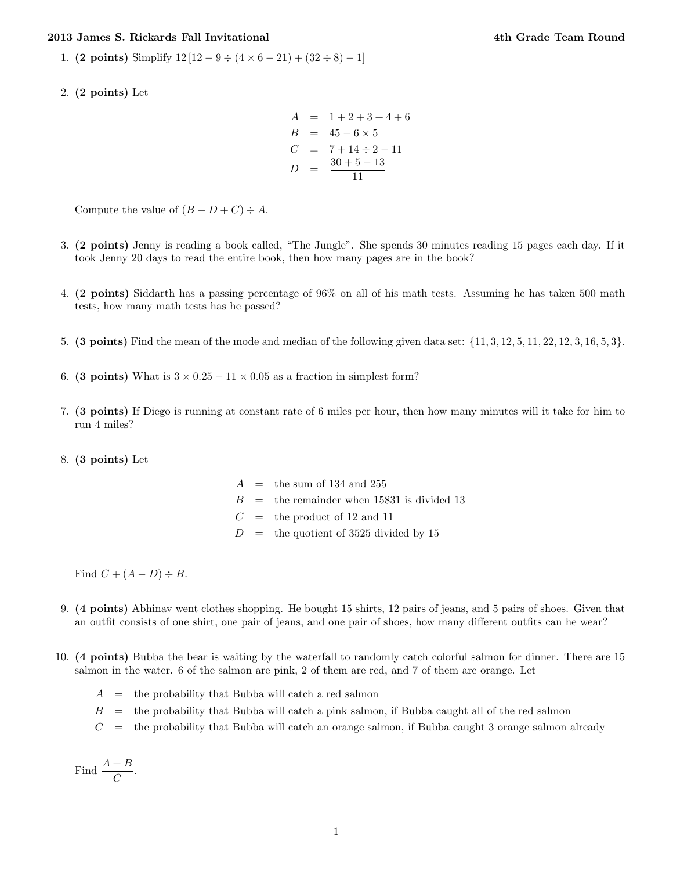1. (2 points) Simplify  $12[12 - 9 \div (4 \times 6 - 21) + (32 \div 8) - 1]$ 

2. (2 points) Let

$$
A = 1 + 2 + 3 + 4 + 6
$$
  
\n
$$
B = 45 - 6 \times 5
$$
  
\n
$$
C = 7 + 14 \div 2 - 11
$$
  
\n
$$
D = \frac{30 + 5 - 13}{11}
$$

Compute the value of  $(B - D + C) \div A$ .

- 3. (2 points) Jenny is reading a book called, "The Jungle". She spends 30 minutes reading 15 pages each day. If it took Jenny 20 days to read the entire book, then how many pages are in the book?
- 4. (2 points) Siddarth has a passing percentage of 96% on all of his math tests. Assuming he has taken 500 math tests, how many math tests has he passed?
- 5. (3 points) Find the mean of the mode and median of the following given data set: {11, 3, 12, 5, 11, 22, 12, 3, 16, 5, 3}.
- 6. (3 points) What is  $3 \times 0.25 11 \times 0.05$  as a fraction in simplest form?
- 7. (3 points) If Diego is running at constant rate of 6 miles per hour, then how many minutes will it take for him to run 4 miles?
- 8. (3 points) Let

|  | $A =$ the sum of 134 and 255                 |
|--|----------------------------------------------|
|  | $B =$ the remainder when 15831 is divided 13 |
|  | $C =$ the product of 12 and 11               |
|  | $D =$ the quotient of 3525 divided by 15     |

Find  $C + (A - D) \div B$ .

- 9. (4 points) Abhinav went clothes shopping. He bought 15 shirts, 12 pairs of jeans, and 5 pairs of shoes. Given that an outfit consists of one shirt, one pair of jeans, and one pair of shoes, how many different outfits can he wear?
- 10. (4 points) Bubba the bear is waiting by the waterfall to randomly catch colorful salmon for dinner. There are 15 salmon in the water. 6 of the salmon are pink, 2 of them are red, and 7 of them are orange. Let
	- $A =$  the probability that Bubba will catch a red salmon
	- $B =$  the probability that Bubba will catch a pink salmon, if Bubba caught all of the red salmon
	- $C =$  the probability that Bubba will catch an orange salmon, if Bubba caught 3 orange salmon already

Find 
$$
\frac{A+B}{C}.
$$